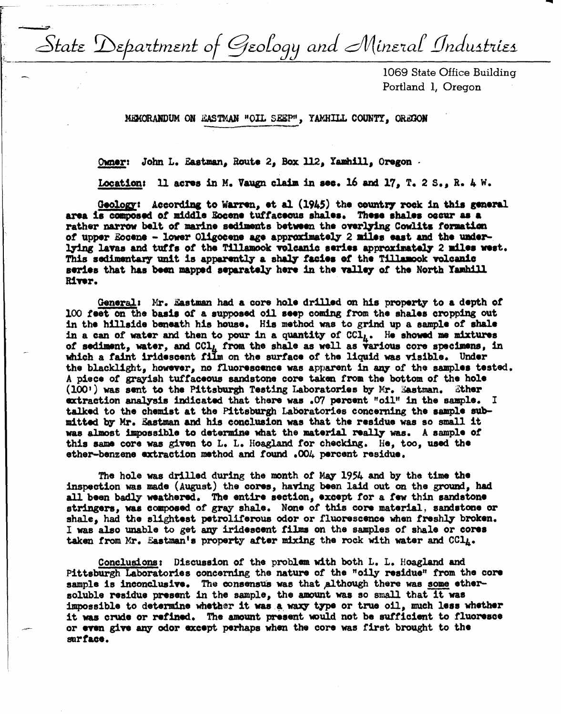State Department of Geology and Mineral Industries

1069 State Office Building Portland 1, Oregon

MEMORANDUM ON EASTMAN "OIL SEEP", YAMHILL COUNTY, OREGON

Owner: John L. Eastman, Route 2, Box 112, Yamhill, Oregon.

Location: 11 acres in M. Vaugn claim in sec. 16 and 17, T. 2 S., R. 4 W.

Geology: According to Warren, et al (1945) the country rock in this general area is composed of middle Eocene tuffaceous shales. These shales occur as a rather narrow belt of marine sediments between the overlying Cowlitz formation of upper Eocene - lower Oligocene age approximately 2 miles east and the underlying lavas and tuffs of the Tillamook volcanic series approximately 2 miles west. This sedimentary unit is apparently a shaly facies of the Tillamook volcanic series that has been mapped separately here in the valley of the North Yamhill River.

General: Mr. Eastman had a core hole drilled on his property to a depth of 100 feet on the basis of a supposed oil seep coming from the shales cropping out in the hillside beneath his house. His method was to grind up a sample of shale in a can of water and then to pour in a quantity of  $CCI<sub>l</sub>$ . He showed me mixtures of sediment, water, and CCl, from the shale as well as various core specimens, in which a faint iridescent film on the surface of the liquid was visible. Under the blacklight, however, no fluorescence was apparent in any of the samples tested. A piece of grayish tuffaceous sandstone core taken from the bottom of the hole  $(100)$  was sent to the Pittsburgh Testing Laboratories by Mr. Eastman. Ether extraction analysis indicated that there was .07 percent "oil" in the sample.  $\mathbf I$ talked to the chemist at the Pittsburgh Laboratories concerning the sample submitted by Mr. Eastman and his conclusion was that the residue was so small it was almost impossible to determine what the material really was. A sample of this same core was given to L. L. Hoagland for checking. He, too, used the ether-benzene extraction method and found .004 percent residue.

The hole was drilled during the month of May 1954 and by the time the inspection was made (August) the cores, having been laid out on the ground, had all been badly weathered. The entire section, except for a few thin sandstone stringers, was composed of gray shale. None of this core material, sandstone or shale, had the slightest petroliferous odor or fluorescence when freshly broken. I was also unable to get any iridescent films on the samples of shale or cores taken from Mr. Eastman's property after mixing the rock with water and CCl<sub>4</sub>.

Conclusions: Discussion of the problem with both L. L. Hoagland and Pittsburgh Laboratories concerning the nature of the "oily residue" from the core sample is inconclusive. The consensus was that although there was some ethersoluble residue present in the sample, the amount was so small that it was impossible to determine whether it was a waxy type or true oil, much less whether it was crude or refined. The amount present would not be sufficient to fluoresce or even give any odor except perhaps when the core was first brought to the surface.